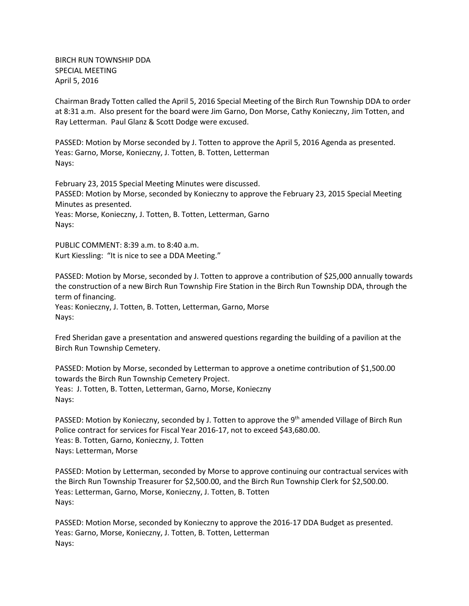BIRCH RUN TOWNSHIP DDA SPECIAL MEETING April 5, 2016

Chairman Brady Totten called the April 5, 2016 Special Meeting of the Birch Run Township DDA to order at 8:31 a.m. Also present for the board were Jim Garno, Don Morse, Cathy Konieczny, Jim Totten, and Ray Letterman. Paul Glanz & Scott Dodge were excused.

PASSED: Motion by Morse seconded by J. Totten to approve the April 5, 2016 Agenda as presented. Yeas: Garno, Morse, Konieczny, J. Totten, B. Totten, Letterman Nays:

February 23, 2015 Special Meeting Minutes were discussed. PASSED: Motion by Morse, seconded by Konieczny to approve the February 23, 2015 Special Meeting Minutes as presented. Yeas: Morse, Konieczny, J. Totten, B. Totten, Letterman, Garno Nays:

PUBLIC COMMENT: 8:39 a.m. to 8:40 a.m. Kurt Kiessling: "It is nice to see a DDA Meeting."

PASSED: Motion by Morse, seconded by J. Totten to approve a contribution of \$25,000 annually towards the construction of a new Birch Run Township Fire Station in the Birch Run Township DDA, through the term of financing. Yeas: Konieczny, J. Totten, B. Totten, Letterman, Garno, Morse Nays:

Fred Sheridan gave a presentation and answered questions regarding the building of a pavilion at the Birch Run Township Cemetery.

PASSED: Motion by Morse, seconded by Letterman to approve a onetime contribution of \$1,500.00 towards the Birch Run Township Cemetery Project. Yeas: J. Totten, B. Totten, Letterman, Garno, Morse, Konieczny Nays:

PASSED: Motion by Konieczny, seconded by J. Totten to approve the 9<sup>th</sup> amended Village of Birch Run Police contract for services for Fiscal Year 2016-17, not to exceed \$43,680.00. Yeas: B. Totten, Garno, Konieczny, J. Totten Nays: Letterman, Morse

PASSED: Motion by Letterman, seconded by Morse to approve continuing our contractual services with the Birch Run Township Treasurer for \$2,500.00, and the Birch Run Township Clerk for \$2,500.00. Yeas: Letterman, Garno, Morse, Konieczny, J. Totten, B. Totten Nays:

PASSED: Motion Morse, seconded by Konieczny to approve the 2016-17 DDA Budget as presented. Yeas: Garno, Morse, Konieczny, J. Totten, B. Totten, Letterman Nays: